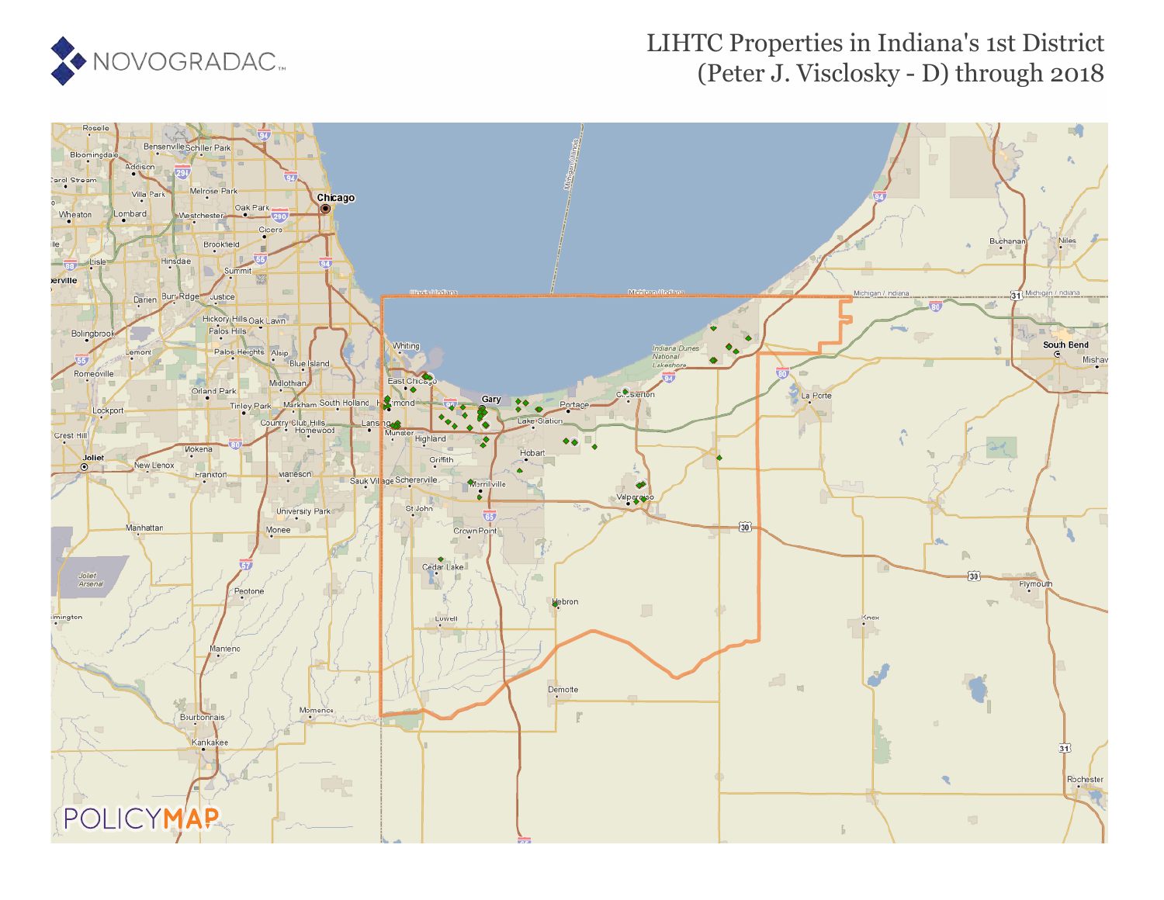

#### LIHTC Properties in Indiana's 1st District (Peter J. Visclosky - D) through 2018

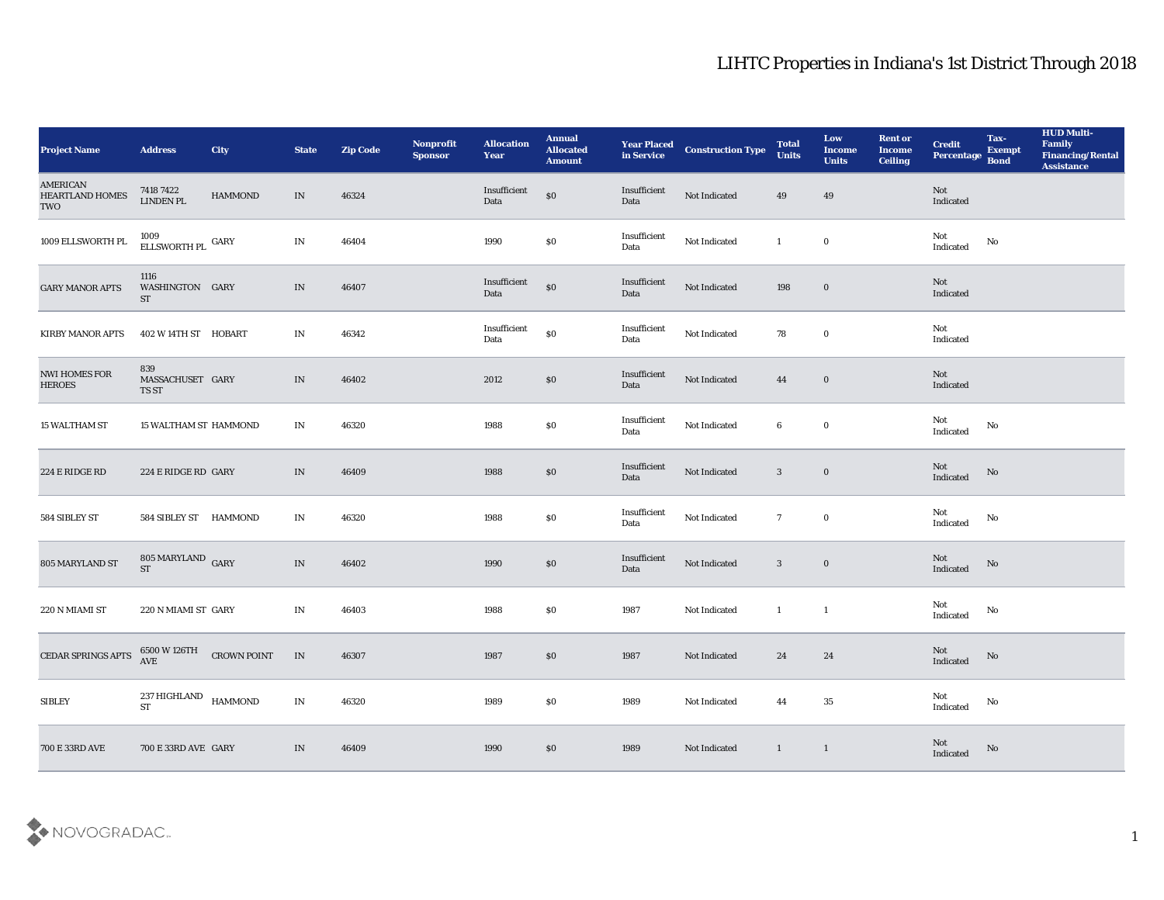| <b>Project Name</b>                       | <b>Address</b>                                              | <b>City</b>        | <b>State</b>                    | <b>Zip Code</b> | Nonprofit<br><b>Sponsor</b> | <b>Allocation</b><br><b>Year</b> | <b>Annual</b><br><b>Allocated</b><br><b>Amount</b> | <b>Year Placed</b><br>in Service | <b>Construction Type</b> | <b>Total</b><br><b>Units</b> | Low<br><b>Income</b><br><b>Units</b> | <b>Rent or</b><br><b>Income</b><br><b>Ceiling</b> | <b>Credit</b><br>Percentage Bond  | Tax-<br><b>Exempt</b>  | <b>HUD Multi-</b><br>Family<br><b>Financing/Rental</b><br><b>Assistance</b> |
|-------------------------------------------|-------------------------------------------------------------|--------------------|---------------------------------|-----------------|-----------------------------|----------------------------------|----------------------------------------------------|----------------------------------|--------------------------|------------------------------|--------------------------------------|---------------------------------------------------|-----------------------------------|------------------------|-----------------------------------------------------------------------------|
| AMERICAN<br><b>HEARTLAND HOMES</b><br>TWO | 7418 7422<br>LINDEN PL                                      | HAMMOND            | IN                              | 46324           |                             | Insufficient<br>Data             | $\$0$                                              | Insufficient<br>Data             | Not Indicated            | 49                           | 49                                   |                                                   | Not<br>Indicated                  |                        |                                                                             |
| 1009 ELLSWORTH PL                         | $1009$ ELLSWORTH PL $\,$ GARY $\,$                          |                    | IN                              | 46404           |                             | 1990                             | $\$0$                                              | Insufficient<br>Data             | Not Indicated            | -1                           | $\bf{0}$                             |                                                   | Not<br>$\operatorname{Indicated}$ | No                     |                                                                             |
| <b>GARY MANOR APTS</b>                    | 1116<br>WASHINGTON GARY<br>ST                               |                    | IN                              | 46407           |                             | Insufficient<br>Data             | $\$0$                                              | Insufficient<br>Data             | Not Indicated            | 198                          | $\bf{0}$                             |                                                   | Not<br>Indicated                  |                        |                                                                             |
| <b>KIRBY MANOR APTS</b>                   | 402 W 14TH ST HOBART                                        |                    | IN                              | 46342           |                             | Insufficient<br>Data             | $\$0$                                              | Insufficient<br>Data             | Not Indicated            | 78                           | $\bf{0}$                             |                                                   | Not<br>Indicated                  |                        |                                                                             |
| <b>NWI HOMES FOR</b><br><b>HEROES</b>     | 839<br>MASSACHUSET GARY<br>TS ST                            |                    | IN                              | 46402           |                             | 2012                             | $\$0$                                              | Insufficient<br>Data             | Not Indicated            | 44                           | $\bf{0}$                             |                                                   | Not<br>Indicated                  |                        |                                                                             |
| <b>15 WALTHAM ST</b>                      | <b>15 WALTHAM ST HAMMOND</b>                                |                    | IN                              | 46320           |                             | 1988                             | \$0                                                | Insufficient<br>Data             | Not Indicated            | 6                            | $\bf{0}$                             |                                                   | Not<br>Indicated                  | No                     |                                                                             |
| 224 E RIDGE RD                            | 224 E RIDGE RD GARY                                         |                    | IN                              | 46409           |                             | 1988                             | $\$0$                                              | Insufficient<br>Data             | Not Indicated            | $\mathbf{3}$                 | $\bf{0}$                             |                                                   | Not<br>Indicated                  | $\mathbf{N}\mathbf{o}$ |                                                                             |
| 584 SIBLEY ST                             | 584 SIBLEY ST HAMMOND                                       |                    | IN                              | 46320           |                             | 1988                             | $\$0$                                              | Insufficient<br>Data             | Not Indicated            | $7\overline{ }$              | $\bf{0}$                             |                                                   | Not<br>Indicated                  | No                     |                                                                             |
| 805 MARYLAND ST                           | $805$ MARYLAND $\,$ GARY<br><b>ST</b>                       |                    | $\,$ IN                         | 46402           |                             | 1990                             | \$0                                                | Insufficient<br>Data             | Not Indicated            | 3                            | $\bf{0}$                             |                                                   | Not<br>Indicated                  | No                     |                                                                             |
| 220 N MIAMI ST                            | 220 N MIAMI ST GARY                                         |                    | IN                              | 46403           |                             | 1988                             | \$0                                                | 1987                             | Not Indicated            | -1                           | -1                                   |                                                   | Not<br>Indicated                  | No                     |                                                                             |
| CEDAR SPRINGS APTS                        | 6500 W 126TH<br>AVE                                         | <b>CROWN POINT</b> | IN                              | 46307           |                             | 1987                             | $\$0$                                              | 1987                             | Not Indicated            | 24                           | 24                                   |                                                   | Not<br>Indicated                  | No                     |                                                                             |
| ${\bf SIBLEY}$                            | $237\,\mbox{HIGHLAND}$ $$\,\mbox{HAMMOND}$$ $$\,\mbox{ST}$$ |                    | $\mathbf{IN}$                   | 46320           |                             | 1989                             | $\$0$                                              | 1989                             | Not Indicated            | 44                           | $35\,$                               |                                                   | Not<br>$\operatorname{Indicated}$ | $\mathbf {No}$         |                                                                             |
| 700 E 33RD AVE                            | 700 E 33RD AVE GARY                                         |                    | $\ensuremath{\text{IN}}\xspace$ | 46409           |                             | 1990                             | \$0                                                | 1989                             | Not Indicated            | $\mathbf{1}$                 | $\mathbf{1}$                         |                                                   | Not<br>Indicated                  | $\rm No$               |                                                                             |

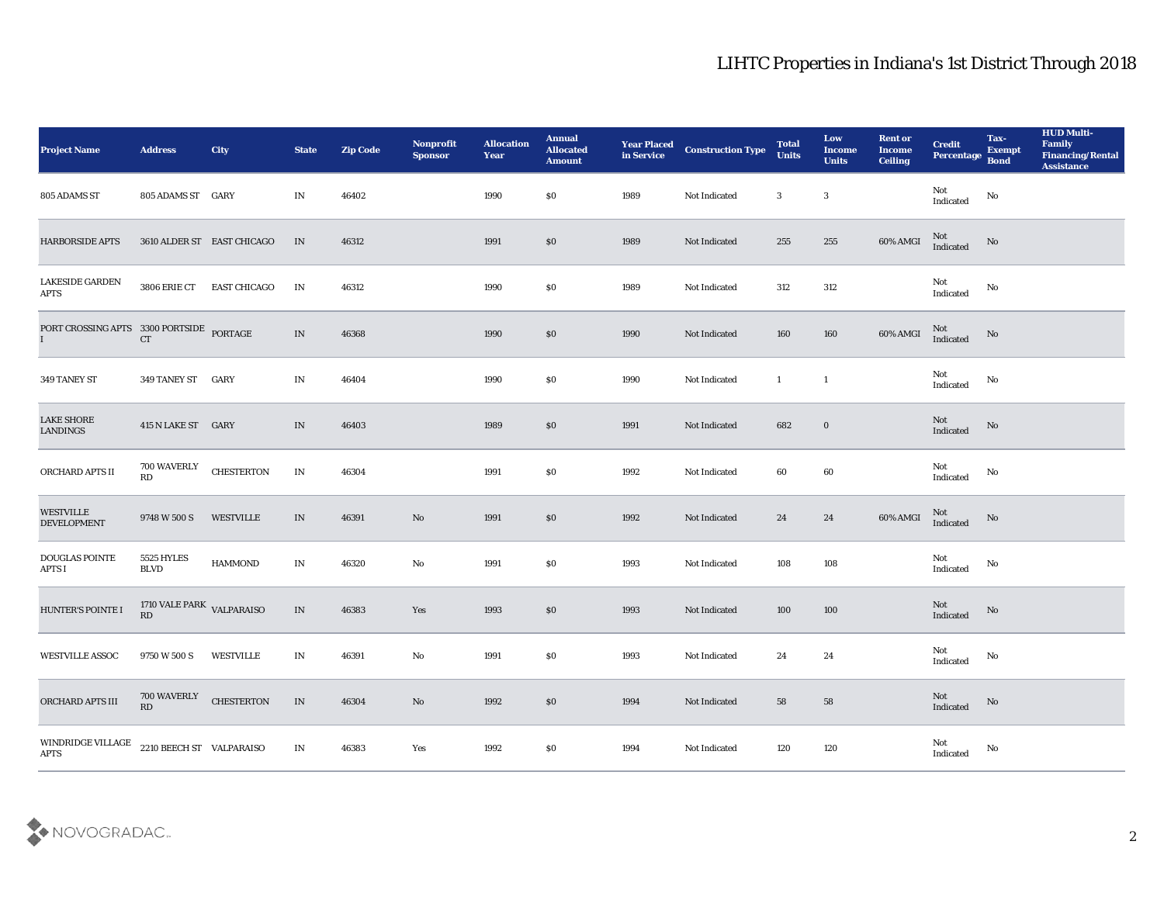| <b>Project Name</b>                                                                                                      | <b>Address</b>                  | City                       | <b>State</b>  | <b>Zip Code</b> | Nonprofit<br><b>Sponsor</b> | <b>Allocation</b><br>Year | <b>Annual</b><br><b>Allocated</b><br><b>Amount</b> | <b>Year Placed<br/>in Service</b> | <b>Construction Type</b> | <b>Total</b><br><b>Units</b> | Low<br><b>Income</b><br><b>Units</b> | <b>Rent or</b><br><b>Income</b><br><b>Ceiling</b> | <b>Credit</b><br>Percentage Bond  | Tax-<br><b>Exempt</b> | <b>HUD Multi-</b><br>Family<br><b>Financing/Rental</b><br>Assistance |
|--------------------------------------------------------------------------------------------------------------------------|---------------------------------|----------------------------|---------------|-----------------|-----------------------------|---------------------------|----------------------------------------------------|-----------------------------------|--------------------------|------------------------------|--------------------------------------|---------------------------------------------------|-----------------------------------|-----------------------|----------------------------------------------------------------------|
| 805 ADAMS ST                                                                                                             | 805 ADAMS ST GARY               |                            | IN            | 46402           |                             | 1990                      | \$0                                                | 1989                              | Not Indicated            | 3                            | $\boldsymbol{3}$                     |                                                   | Not<br>Indicated                  | No                    |                                                                      |
| <b>HARBORSIDE APTS</b>                                                                                                   |                                 | 3610 ALDER ST EAST CHICAGO | IN            | 46312           |                             | 1991                      | $\$0$                                              | 1989                              | Not Indicated            | 255                          | 255                                  | 60% AMGI                                          | Not<br>Indicated                  | No                    |                                                                      |
| <b>LAKESIDE GARDEN</b><br><b>APTS</b>                                                                                    | 3806 ERIE CT                    | <b>EAST CHICAGO</b>        | IN            | 46312           |                             | 1990                      | \$0                                                | 1989                              | Not Indicated            | 312                          | 312                                  |                                                   | Not<br>Indicated                  | No                    |                                                                      |
| $\begin{array}{lll} {\tt PORTCROSSING\; APTS} & 3300\; {\tt PORTSIDE} & {\tt PORTAGE} \\ {\tt I} & {\tt CT} \end{array}$ |                                 |                            | $\;$ IN       | 46368           |                             | 1990                      | $\boldsymbol{\mathsf{S}}\boldsymbol{\mathsf{O}}$   | 1990                              | Not Indicated            | 160                          | 160                                  | $60\%$ AMGI                                       | Not<br>Indicated                  | No                    |                                                                      |
| 349 TANEY ST                                                                                                             | 349 TANEY ST                    | GARY                       | IN            | 46404           |                             | 1990                      | \$0                                                | 1990                              | Not Indicated            | $\mathbf{1}$                 | $\mathbf{1}$                         |                                                   | Not<br>$\operatorname{Indicated}$ | No                    |                                                                      |
| <b>LAKE SHORE</b><br>LANDINGS                                                                                            | 415 N LAKE ST GARY              |                            | IN            | 46403           |                             | 1989                      | $\$0$                                              | 1991                              | Not Indicated            | 682                          | $\bf{0}$                             |                                                   | Not<br>Indicated                  | No                    |                                                                      |
| ORCHARD APTS II                                                                                                          | <b>700 WAVERLY</b><br>RD        | <b>CHESTERTON</b>          | IN            | 46304           |                             | 1991                      | \$0                                                | 1992                              | Not Indicated            | 60                           | 60                                   |                                                   | Not<br>Indicated                  | No                    |                                                                      |
| <b>WESTVILLE</b><br><b>DEVELOPMENT</b>                                                                                   | 9748 W 500 S                    | <b>WESTVILLE</b>           | IN            | 46391           | No                          | 1991                      | \$0                                                | 1992                              | Not Indicated            | 24                           | 24                                   | 60% AMGI                                          | Not<br>Indicated                  | No                    |                                                                      |
| DOUGLAS POINTE<br><b>APTS I</b>                                                                                          | 5525 HYLES<br><b>BLVD</b>       | <b>HAMMOND</b>             | IN            | 46320           | No                          | 1991                      | \$0                                                | 1993                              | Not Indicated            | 108                          | 108                                  |                                                   | Not<br>$\operatorname{Indicated}$ | No                    |                                                                      |
| HUNTER'S POINTE I                                                                                                        | 1710 VALE PARK VALPARAISO<br>RD |                            | $\;$ IN       | 46383           | Yes                         | 1993                      | \$0                                                | 1993                              | Not Indicated            | 100                          | 100                                  |                                                   | Not<br>Indicated                  | No                    |                                                                      |
| <b>WESTVILLE ASSOC</b>                                                                                                   | 9750 W 500 S                    | WESTVILLE                  | IN            | 46391           | No                          | 1991                      | \$0                                                | 1993                              | Not Indicated            | 24                           | 24                                   |                                                   | Not<br>Indicated                  | No                    |                                                                      |
| ORCHARD APTS III                                                                                                         | 700 WAVERLY<br>RD               | <b>CHESTERTON</b>          | $\;$ IN       | 46304           | $\rm\thinspace No$          | 1992                      | $\$0$                                              | 1994                              | Not Indicated            | 58                           | ${\bf 58}$                           |                                                   | Not<br>Indicated                  | $\rm \bf No$          |                                                                      |
| WINDRIDGE VILLAGE<br><b>APTS</b>                                                                                         | 2210 BEECH ST VALPARAISO        |                            | $\mathbf{IN}$ | 46383           | Yes                         | 1992                      | $\$0$                                              | 1994                              | Not Indicated            | 120                          | $120\,$                              |                                                   | Not<br>Indicated                  | No                    |                                                                      |

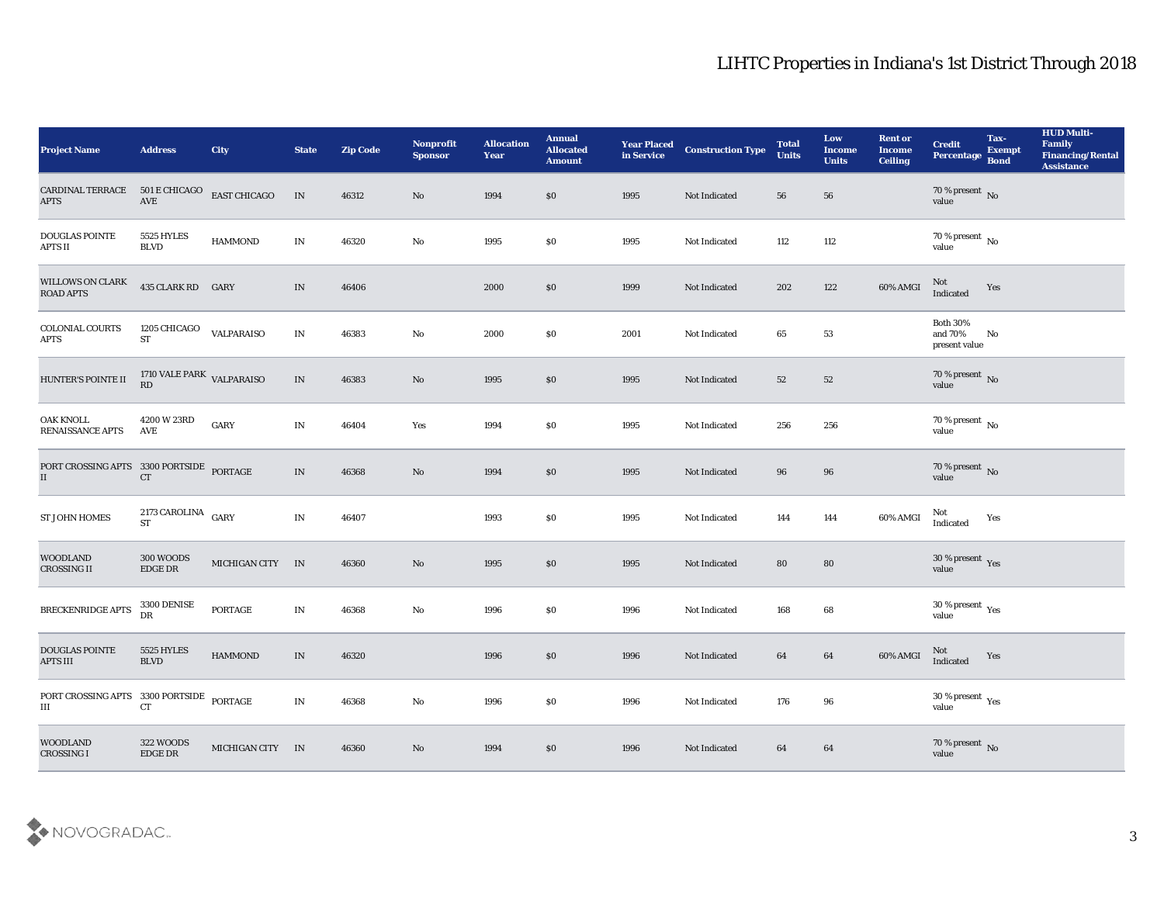| <b>Project Name</b>                                   | <b>Address</b>                                       | City                | <b>State</b>             | <b>Zip Code</b> | Nonprofit<br><b>Sponsor</b> | <b>Allocation</b><br><b>Year</b> | <b>Annual</b><br><b>Allocated</b><br><b>Amount</b> | <b>Year Placed</b><br>in Service | <b>Construction Type</b> | <b>Total</b><br><b>Units</b> | Low<br><b>Income</b><br><b>Units</b> | <b>Rent or</b><br><b>Income</b><br><b>Ceiling</b> | <b>Credit</b><br>Percentage Bond            | Tax-<br><b>Exempt</b> | <b>HUD Multi-</b><br>Family<br><b>Financing/Rental</b><br><b>Assistance</b> |
|-------------------------------------------------------|------------------------------------------------------|---------------------|--------------------------|-----------------|-----------------------------|----------------------------------|----------------------------------------------------|----------------------------------|--------------------------|------------------------------|--------------------------------------|---------------------------------------------------|---------------------------------------------|-----------------------|-----------------------------------------------------------------------------|
| CARDINAL TERRACE<br><b>APTS</b>                       | 501 E CHICAGO<br>AVE                                 | <b>EAST CHICAGO</b> | IN                       | 46312           | No                          | 1994                             | $\$0$                                              | 1995                             | Not Indicated            | 56                           | 56                                   |                                                   | 70 % present No<br>value                    |                       |                                                                             |
| <b>DOUGLAS POINTE</b><br><b>APTS II</b>               | 5525 HYLES<br><b>BLVD</b>                            | <b>HAMMOND</b>      | IN                       | 46320           | $\mathbf{N}\mathbf{o}$      | 1995                             | \$0                                                | 1995                             | Not Indicated            | 112                          | 112                                  |                                                   | 70 % present No<br>value                    |                       |                                                                             |
| WILLOWS ON CLARK<br><b>ROAD APTS</b>                  | 435 CLARK RD GARY                                    |                     | $\ensuremath{\text{IN}}$ | 46406           |                             | 2000                             | $\$0$                                              | 1999                             | Not Indicated            | 202                          | 122                                  | 60% AMGI                                          | Not<br>Indicated                            | Yes                   |                                                                             |
| <b>COLONIAL COURTS</b><br><b>APTS</b>                 | 1205 CHICAGO<br>$\operatorname{ST}$                  | VALPARAISO          | IN                       | 46383           | No                          | 2000                             | \$0                                                | 2001                             | Not Indicated            | 65                           | 53                                   |                                                   | <b>Both 30%</b><br>and 70%<br>present value | No                    |                                                                             |
| HUNTER'S POINTE II                                    | 1710 VALE PARK VALPARAISO<br>RD                      |                     | $\ensuremath{\text{IN}}$ | 46383           | No                          | 1995                             | $\$0$                                              | 1995                             | Not Indicated            | 52                           | 52                                   |                                                   | $70\,\%$ present $\,$ No value              |                       |                                                                             |
| <b>OAK KNOLL</b><br><b>RENAISSANCE APTS</b>           | $4200\,\mathrm{W}\,23\mathrm{RD}$<br>AVE             | $_{\rm GARY}$       | IN                       | 46404           | Yes                         | 1994                             | \$0                                                | 1995                             | Not Indicated            | 256                          | 256                                  |                                                   | $70\,\%$ present $\,$ No value              |                       |                                                                             |
| PORT CROSSING APTS 3300 PORTSIDE PORTAGE<br>II        | CT                                                   |                     | IN                       | 46368           | No                          | 1994                             | \$0                                                | 1995                             | Not Indicated            | 96                           | 96                                   |                                                   | $70\,\%$ present $\,$ No $\,$ value         |                       |                                                                             |
| <b>ST JOHN HOMES</b>                                  | 2173 CAROLINA GARY<br><b>ST</b>                      |                     | IN                       | 46407           |                             | 1993                             | $\$0$                                              | 1995                             | Not Indicated            | 144                          | 144                                  | 60% AMGI                                          | Not<br>Indicated                            | Yes                   |                                                                             |
| <b>WOODLAND</b><br>CROSSING II                        | 300 WOODS<br>$\rm{EDGE}$ DR                          | MICHIGAN CITY IN    |                          | 46360           | No                          | 1995                             | \$0                                                | 1995                             | Not Indicated            | 80                           | 80                                   |                                                   | $30\,\%$ present $\,$ Yes value             |                       |                                                                             |
| BRECKENRIDGE APTS                                     | 3300 DENISE<br>DR                                    | PORTAGE             | IN                       | 46368           | No                          | 1996                             | \$0                                                | 1996                             | Not Indicated            | 168                          | 68                                   |                                                   | $30\,\%$ present $\,$ Yes value             |                       |                                                                             |
| <b>DOUGLAS POINTE</b><br><b>APTS III</b>              | 5525 HYLES<br><b>BLVD</b>                            | <b>HAMMOND</b>      | IN                       | 46320           |                             | 1996                             | $\$0$                                              | 1996                             | Not Indicated            | 64                           | 64                                   | 60% AMGI                                          | Not<br>Indicated                            | Yes                   |                                                                             |
| PORT CROSSING APTS 3300 PORTSIDE PORTAGE<br>$\rm III$ | ${\cal C}{\cal T}$                                   |                     | $\mathbf{IN}$            | 46368           | $\rm\thinspace No$          | 1996                             | $\$0$                                              | 1996                             | Not Indicated            | 176                          | $96\,$                               |                                                   | $30\,\%$ present $\,$ Yes value             |                       |                                                                             |
| <b>WOODLAND</b><br>CROSSING I                         | 322 WOODS<br>$\operatorname{EDGE} \operatorname{DR}$ | MICHIGAN CITY IN    |                          | 46360           | $\rm\thinspace No$          | 1994                             | $\$0$                                              | 1996                             | Not Indicated            | 64                           | 64                                   |                                                   | $70\,\%$ present $\,$ No value              |                       |                                                                             |

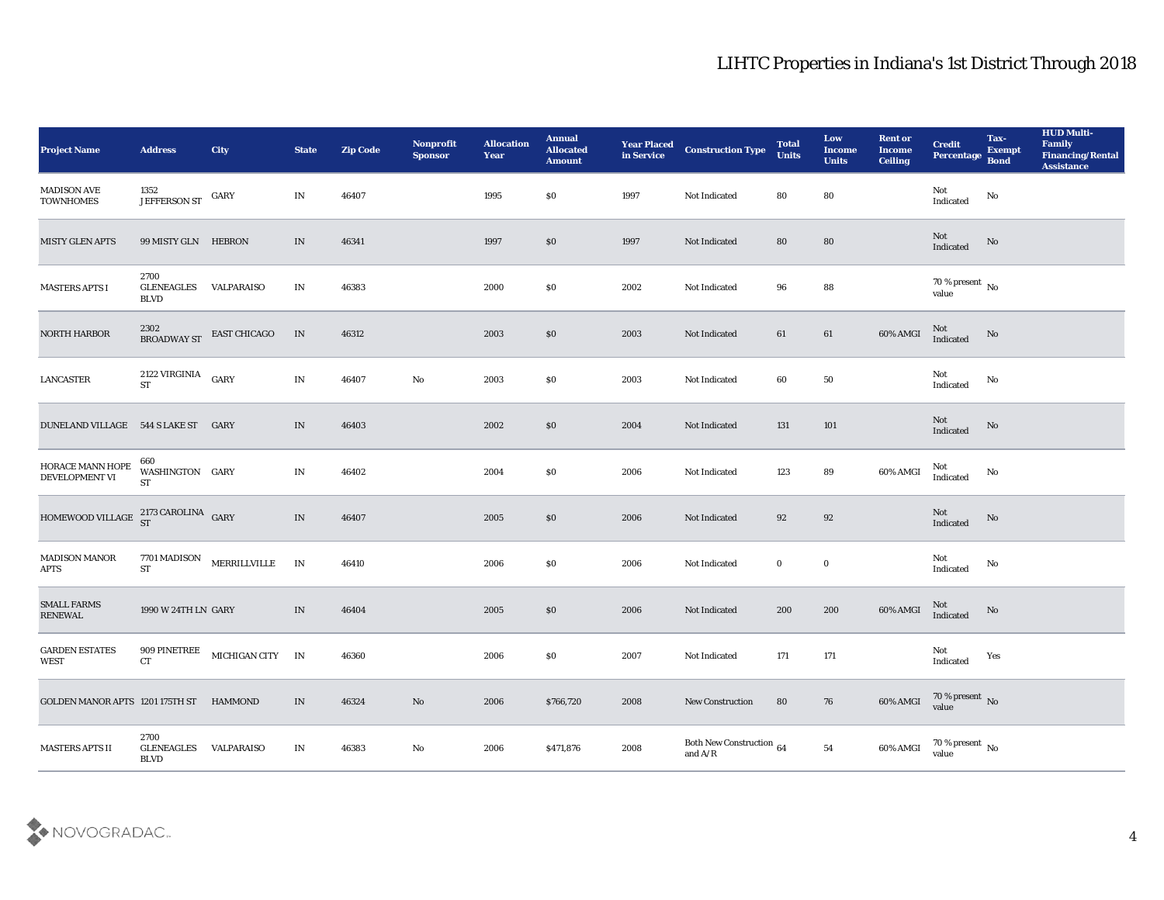| Project Name                                  | <b>Address</b>                           | City                                | <b>State</b>             | <b>Zip Code</b> | Nonprofit<br><b>Sponsor</b> | <b>Allocation</b><br><b>Year</b> | <b>Annual</b><br><b>Allocated</b><br><b>Amount</b> |      | <b>Year Placed Construction Type</b><br>in Service <b>Construction</b> Type | <b>Total</b><br><b>Units</b> | Low<br><b>Income</b><br><b>Units</b> | <b>Rent or</b><br><b>Income</b><br><b>Ceiling</b> | <b>Credit</b><br>Percentage        | Tax-<br><b>Exempt</b><br><b>Bond</b> | <b>HUD Multi-</b><br>Family<br><b>Financing/Rental</b><br><b>Assistance</b> |
|-----------------------------------------------|------------------------------------------|-------------------------------------|--------------------------|-----------------|-----------------------------|----------------------------------|----------------------------------------------------|------|-----------------------------------------------------------------------------|------------------------------|--------------------------------------|---------------------------------------------------|------------------------------------|--------------------------------------|-----------------------------------------------------------------------------|
| <b>MADISON AVE</b><br><b>TOWNHOMES</b>        | 1352<br>JEFFERSON ST GARY                |                                     | IN                       | 46407           |                             | 1995                             | \$0                                                | 1997 | Not Indicated                                                               | 80                           | 80                                   |                                                   | Not<br>$\operatorname{Indicated}$  | No                                   |                                                                             |
| <b>MISTY GLEN APTS</b>                        | 99 MISTY GLN HEBRON                      |                                     | IN                       | 46341           |                             | 1997                             | $\$0$                                              | 1997 | Not Indicated                                                               | 80                           | 80                                   |                                                   | Not<br>Indicated                   | No                                   |                                                                             |
| <b>MASTERS APTS I</b>                         | 2700<br><b>GLENEAGLES</b><br><b>BLVD</b> | VALPARAISO                          | IN                       | 46383           |                             | 2000                             | \$0                                                | 2002 | Not Indicated                                                               | 96                           | 88                                   |                                                   | $70\,\%$ present $\,$ No value     |                                      |                                                                             |
| NORTH HARBOR                                  | 2302<br>BROADWAY ST                      | EAST CHICAGO                        | IN                       | 46312           |                             | 2003                             | \$0                                                | 2003 | Not Indicated                                                               | 61                           | 61                                   | 60% AMGI                                          | Not<br>Indicated                   | No                                   |                                                                             |
| <b>LANCASTER</b>                              | 2122 VIRGINIA<br><b>ST</b>               | GARY                                | IN                       | 46407           | $\rm\thinspace No$          | 2003                             | \$0                                                | 2003 | Not Indicated                                                               | 60                           | 50                                   |                                                   | Not<br>Indicated                   | No                                   |                                                                             |
| DUNELAND VILLAGE 544 S LAKE ST GARY           |                                          |                                     | IN                       | 46403           |                             | 2002                             | \$0                                                | 2004 | Not Indicated                                                               | 131                          | 101                                  |                                                   | Not<br>Indicated                   | No                                   |                                                                             |
| HORACE MANN HOPE<br>DEVELOPMENT VI            | 660<br>WASHINGTON GARY<br><b>ST</b>      |                                     | IN                       | 46402           |                             | 2004                             | $\$0$                                              | 2006 | Not Indicated                                                               | 123                          | 89                                   | 60% AMGI                                          | Not<br>Indicated                   | No                                   |                                                                             |
| HOMEWOOD VILLAGE $^{2173}_{ST}$ CAROLINA GARY |                                          |                                     | $\ensuremath{\text{IN}}$ | 46407           |                             | 2005                             | \$0                                                | 2006 | Not Indicated                                                               | 92                           | 92                                   |                                                   | Not<br>Indicated                   | $\rm No$                             |                                                                             |
| MADISON MANOR<br><b>APTS</b>                  | ST                                       | $7701\,\mbox{MADISON}$ MERRILLVILLE | IN                       | 46410           |                             | 2006                             | \$0                                                | 2006 | Not Indicated                                                               | $\bf{0}$                     | $\bf{0}$                             |                                                   | Not<br>Indicated                   | No                                   |                                                                             |
| <b>SMALL FARMS</b><br><b>RENEWAL</b>          | 1990 W 24TH LN GARY                      |                                     | IN                       | 46404           |                             | 2005                             | \$0                                                | 2006 | Not Indicated                                                               | 200                          | 200                                  | 60% AMGI                                          | Not<br>Indicated                   | No                                   |                                                                             |
| <b>GARDEN ESTATES</b><br>WEST                 | 909 PINETREE<br>CT                       | MICHIGAN CITY IN                    |                          | 46360           |                             | 2006                             | \$0                                                | 2007 | Not Indicated                                                               | 171                          | 171                                  |                                                   | Not<br>Indicated                   | Yes                                  |                                                                             |
| GOLDEN MANOR APTS 1201 175TH ST HAMMOND       |                                          |                                     | $\ensuremath{\text{IN}}$ | 46324           | $\rm\, No$                  | 2006                             | \$766,720                                          | 2008 | New Construction                                                            | 80                           | 76                                   | 60% AMGI                                          | $70\,\%$ present $\,$ No value     |                                      |                                                                             |
| MASTERS APTS II                               | 2700<br><b>GLENEAGLES</b><br><b>BLVD</b> | VALPARAISO                          | $\mathbf{IN}$            | 46383           | $\mathbf {No}$              | 2006                             | \$471,876                                          | 2008 | Both New Construction $$\,64$$ and ${\rm A}/{\rm R}$                        |                              | ${\bf 54}$                           | 60% AMGI                                          | 70 % present $\,$ No $\,$<br>value |                                      |                                                                             |

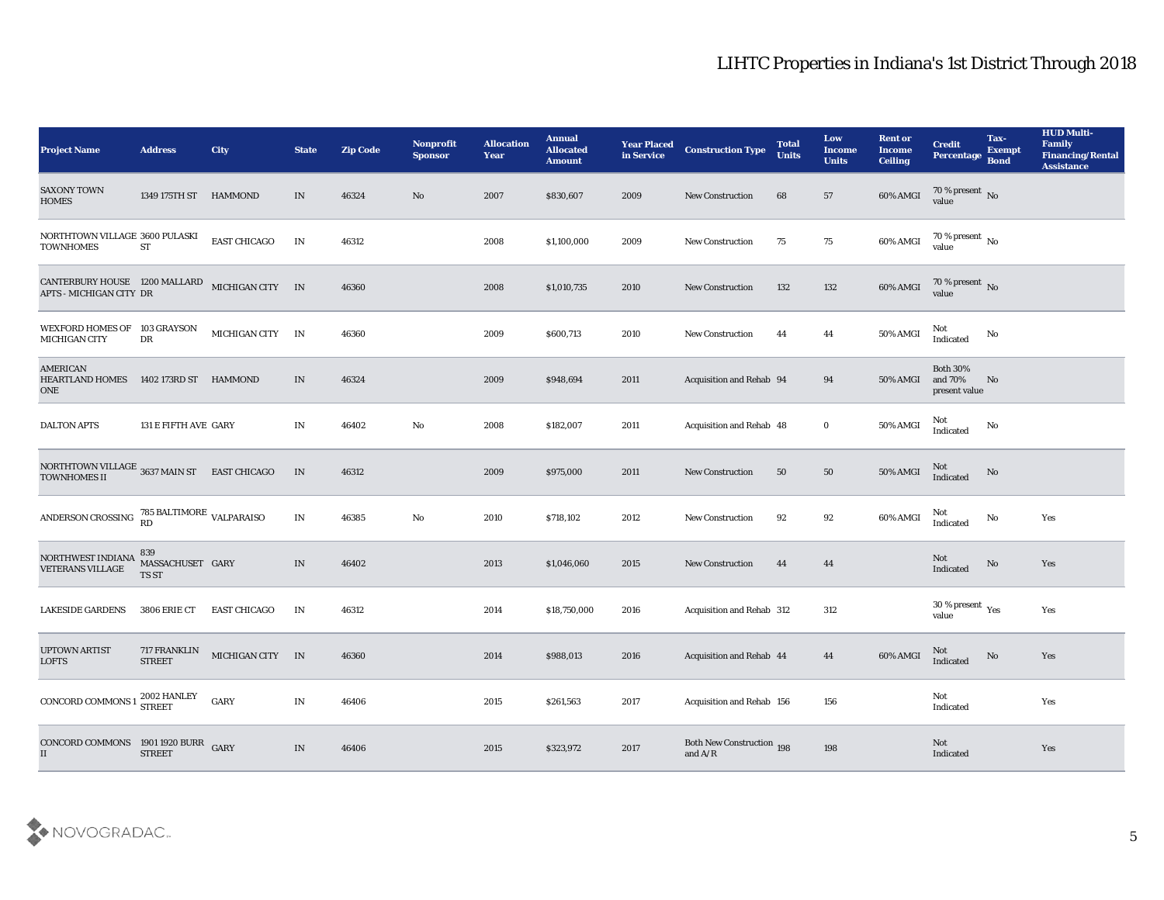| <b>Project Name</b>                                                | <b>Address</b>                            | City                 | <b>State</b>             | <b>Zip Code</b> | Nonprofit<br><b>Sponsor</b> | <b>Allocation</b><br><b>Year</b> | <b>Annual</b><br><b>Allocated</b><br><b>Amount</b> | <b>Year Placed</b><br>in Service | <b>Construction Type</b>                                                           | <b>Total</b><br><b>Units</b> | Low<br><b>Income</b><br><b>Units</b> | <b>Rent or</b><br>Income<br><b>Ceiling</b> | <b>Credit</b><br>Percentage                    | Tax-<br><b>Exempt</b><br><b>Bond</b> | <b>HUD Multi-</b><br>Family<br><b>Financing/Rental</b><br><b>Assistance</b> |
|--------------------------------------------------------------------|-------------------------------------------|----------------------|--------------------------|-----------------|-----------------------------|----------------------------------|----------------------------------------------------|----------------------------------|------------------------------------------------------------------------------------|------------------------------|--------------------------------------|--------------------------------------------|------------------------------------------------|--------------------------------------|-----------------------------------------------------------------------------|
| <b>SAXONY TOWN</b><br><b>HOMES</b>                                 | 1349 175TH ST HAMMOND                     |                      | IN                       | 46324           | No                          | 2007                             | \$830,607                                          | 2009                             | <b>New Construction</b>                                                            | 68                           | 57                                   | 60% AMGI                                   | 70 % present No<br>value                       |                                      |                                                                             |
| NORTHTOWN VILLAGE 3600 PULASKI<br><b>TOWNHOMES</b>                 | <b>ST</b>                                 | <b>EAST CHICAGO</b>  | IN                       | 46312           |                             | 2008                             | \$1,100,000                                        | 2009                             | <b>New Construction</b>                                                            | 75                           | 75                                   | 60% AMGI                                   | 70 % present $\,$ No $\,$<br>value             |                                      |                                                                             |
| CANTERBURY HOUSE 1200 MALLARD<br>APTS - MICHIGAN CITY DR           |                                           | MICHIGAN CITY IN     |                          | 46360           |                             | 2008                             | \$1,010,735                                        | 2010                             | <b>New Construction</b>                                                            | 132                          | 132                                  | 60% AMGI                                   | 70 % present No<br>value                       |                                      |                                                                             |
| WEXFORD HOMES OF 103 GRAYSON<br>MICHIGAN CITY                      | DR                                        | <b>MICHIGAN CITY</b> | IN                       | 46360           |                             | 2009                             | \$600,713                                          | 2010                             | <b>New Construction</b>                                                            | 44                           | 44                                   | 50% AMGI                                   | Not<br>Indicated                               | No                                   |                                                                             |
| <b>AMERICAN</b><br><b>HEARTLAND HOMES</b><br>ONE                   | 1402 173RD ST                             | HAMMOND              | IN                       | 46324           |                             | 2009                             | \$948,694                                          | 2011                             | Acquisition and Rehab 94                                                           |                              | 94                                   | 50% AMGI                                   | <b>Both 30%</b><br>and 70%<br>present value    | No                                   |                                                                             |
| <b>DALTON APTS</b>                                                 | 131 E FIFTH AVE GARY                      |                      | IN                       | 46402           | No                          | 2008                             | \$182,007                                          | 2011                             | <b>Acquisition and Rehab 48</b>                                                    |                              | $\bf{0}$                             | 50% AMGI                                   | Not<br>Indicated                               | No                                   |                                                                             |
| NORTHTOWN VILLAGE 3637 MAIN ST EAST CHICAGO<br><b>TOWNHOMES II</b> |                                           |                      | $\ensuremath{\text{IN}}$ | 46312           |                             | 2009                             | \$975,000                                          | 2011                             | <b>New Construction</b>                                                            | 50                           | 50                                   | 50% AMGI                                   | Not<br>Indicated                               | No                                   |                                                                             |
| ANDERSON CROSSING                                                  | $785$ BALTIMORE $_{\rm VALPARAISO}$<br>RD |                      | IN                       | 46385           | No                          | 2010                             | \$718,102                                          | 2012                             | <b>New Construction</b>                                                            | 92                           | 92                                   | 60% AMGI                                   | <b>Not</b><br>Indicated                        | No                                   | Yes                                                                         |
| NORTHWEST INDIANA<br>VETERANS VILLAGE                              | 839<br>MASSACHUSET GARY<br>TS ST          |                      | $\mathbf{IN}$            | 46402           |                             | 2013                             | \$1,046,060                                        | 2015                             | <b>New Construction</b>                                                            | 44                           | 44                                   |                                            | <b>Not</b><br>Indicated                        | No                                   | Yes                                                                         |
| <b>LAKESIDE GARDENS</b>                                            | 3806 ERIE CT                              | <b>EAST CHICAGO</b>  | IN                       | 46312           |                             | 2014                             | \$18,750,000                                       | 2016                             | Acquisition and Rehab 312                                                          |                              | 312                                  |                                            | 30 % present $\,\rm \gamma_{\rm e s}$<br>value |                                      | Yes                                                                         |
| <b>UPTOWN ARTIST</b><br><b>LOFTS</b>                               | <b>717 FRANKLIN</b><br><b>STREET</b>      | MICHIGAN CITY IN     |                          | 46360           |                             | 2014                             | \$988,013                                          | 2016                             | Acquisition and Rehab 44                                                           |                              | 44                                   | 60% AMGI                                   | <b>Not</b><br><b>Indicated</b>                 | No                                   | Yes                                                                         |
| <b>CONCORD COMMONS 1</b>                                           | $2002$ HANLEY STREET                      | GARY                 | $\mathbf{IN}$            | 46406           |                             | 2015                             | \$261,563                                          | 2017                             | Acquisition and Rehab 156                                                          |                              | 156                                  |                                            | Not<br>Indicated                               |                                      | Yes                                                                         |
| CONCORD COMMONS 1901 1920 BURR GARY<br>II                          | <b>STREET</b>                             |                      | IN                       | 46406           |                             | 2015                             | \$323,972                                          | 2017                             | Both New Construction 198<br>and $\ensuremath{\mathrm{A}}/\ensuremath{\mathrm{R}}$ |                              | 198                                  |                                            | Not<br>Indicated                               |                                      | Yes                                                                         |